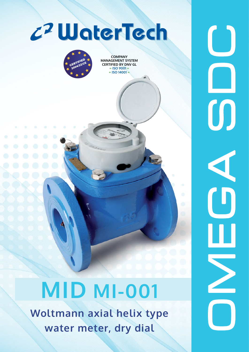

## **MID MI-001**

**Woltmann axial helix type water meter, dry dial**